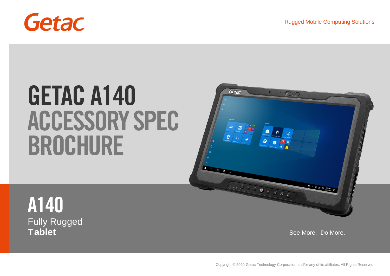

# **GETAC A140 ACCESSORY SPEC BROCHURE**



**A140** Fully Rugged **Tablet** See More. Do More. **See More.** Do More. **See More.** Do More. **See More.** Do More.

Copyright © 2020 Getac Technology Corporation and/or any of its affiliates. All Rights Reserved.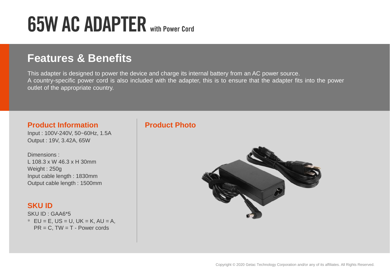## **65W AC ADAPTER with Power Cord**

## **Features & Benefits**

This adapter is designed to power the device and charge its internal battery from an AC power source. A country-specific power cord is also included with the adapter, this is to ensure that the adapter fits into the power outlet of the appropriate country.

#### **Product Information**

Input : 100V-240V, 50~60Hz, 1.5A Output : 19V, 3.42A, 65W

Dimensions : L 108.3 x W 46.3 x H 30mm Weight : 250g Input cable length : 1830mm Output cable length : 1500mm

#### **SKU ID**

SKU ID : GAA6\*5  $*$  EU = E, US = U, UK = K, AU = A,  $PR = C$ , TW = T - Power cords

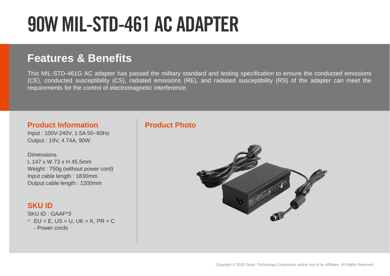# **90W MIL-STD-461 AC ADAPTER**

## **Features & Benefits**

This MIL-STD-461G AC adapter has passed the military standard and testing specification to ensure the conducted emissions (CE), conducted susceptibility (CS), radiated emissions (RE), and radiated susceptibility (RS) of the adapter can meet the requirements for the control of electromagnetic interference.

#### **Product Information**

Input : 100V-240V, 1.5A 50~60Hz Output : 19V, 4.74A, 90W

**Dimensions** L 147 x W 73 x H 45.5mm Weight : 750g (without power cord) Input cable length : 1830mm Output cable length : 1200mm

#### **SKU ID**

SKU ID : GAAF\*3 \* EU = E, US = U, UK = K, PR = C - Power cords

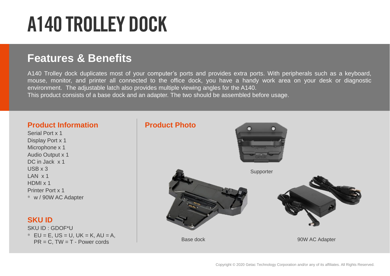# **A140 TROLLEY DOCK**

## **Features & Benefits**

A140 Trolley dock duplicates most of your computer's ports and provides extra ports. With peripherals such as a keyboard, mouse, monitor, and printer all connected to the office dock, you have a handy work area on your desk or diagnostic environment. The adjustable latch also provides multiple viewing angles for the A140. This product consists of a base dock and an adapter. The two should be assembled before usage.

#### **Product Information**

Serial Port x 1 Display Port x 1 Microphone x 1 Audio Output x 1 DC in Jack x 1 USB x 3 LAN x 1 HDMI x 1 Printer Port x 1 \* w / 90W AC Adapter

#### **SKU ID**

SKU ID : GDOF\*U \* EU = E, US = U, UK = K, AU = A,  $PR = C$ ,  $TW = T - Power$  cords

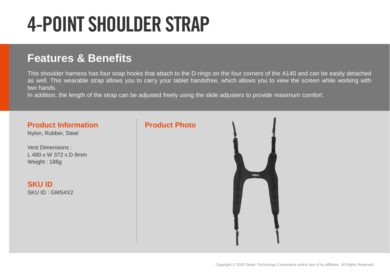# **4-POINT SHOULDER STRAP**

## **Features & Benefits**

This shoulder harness has four snap hooks that attach to the D-rings on the four corners of the A140 and can be easily detached as well. This wearable strap allows you to carry your tablet handsfree, which allows you to view the screen while working with two hands.

In addition, the length of the strap can be adjusted freely using the slide adjusters to provide maximum comfort.

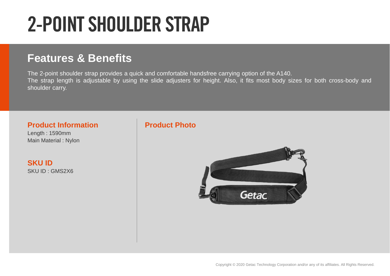# **2-POINT SHOULDER STRAP**

## **Features & Benefits**

The 2-point shoulder strap provides a quick and comfortable handsfree carrying option of the A140. The strap length is adjustable by using the slide adjusters for height. Also, it fits most body sizes for both cross-body and shoulder carry.

#### **Product Information**

Length : 1590mm Main Material : Nylon

**SKU ID** SKU ID : GMS2X6

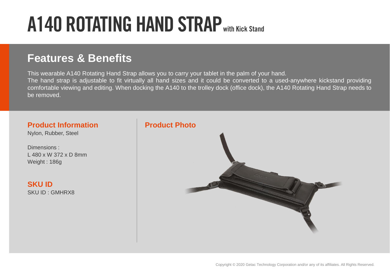# **A140 ROTATING HAND STRAPwith Kick Stand**

## **Features & Benefits**

This wearable A140 Rotating Hand Strap allows you to carry your tablet in the palm of your hand. The hand strap is adjustable to fit virtually all hand sizes and it could be converted to a used-anywhere kickstand providing comfortable viewing and editing. When docking the A140 to the trolley dock (office dock), the A140 Rotating Hand Strap needs to be removed.

#### **Product Information**

Nylon, Rubber, Steel

Dimensions : L 480 x W 372 x D 8mm Weight : 186g

**SKU ID** SKU ID : GMHRX8

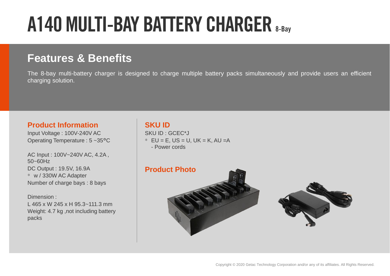# **A140 MULTI-BAY BATTERY CHARGER 8-Bay**

## **Features & Benefits**

The 8-bay multi-battery charger is designed to charge multiple battery packs simultaneously and provide users an efficient charging solution.

#### **Product Information**

Input Voltage : 100V-240V AC Operating Temperature : 5 ~35°C

AC Input : 100V~240V AC, 4.2A , 50~60Hz DC Output : 19.5V, 16.9A \* w / 330W AC Adapter Number of charge bays : 8 bays

Dimension : L 465 x W 245 x H 95.3~111.3 mm Weight: 4.7 kg , not including battery packs

#### **SKU ID**

SKU ID : GCEC\*J  $*$  EU = E, US = U, UK = K, AU = A - Power cords

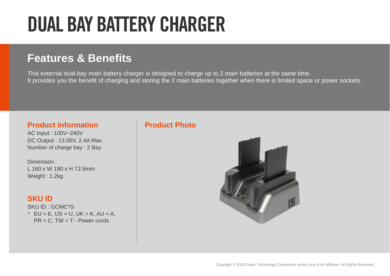# **DUAL BAY BATTERY CHARGER**

## **Features & Benefits**

This external dual-bay main battery charger is designed to charge up to 2 main batteries at the same time. It provides you the benefit of charging and storing the 2 main batteries together when there is limited space or power sockets.

#### **Product Information**

AC Input : 100V~240V DC Output : 13.05V, 2.4A Max. Number of charge bay : 2 Bay

Dimension : L 160 x W 180 x H 72.5mm Weight : 1.2kg

#### **SKU ID**

SKU ID : GCMC\*G  $*$  EU = E, US = U, UK = K, AU = A,  $PR = C$ , TW = T - Power cords

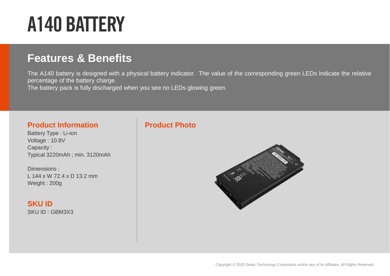# **A140 BATTERY**

## **Features & Benefits**

The A140 battery is designed with a physical battery indicator. The value of the corresponding green LEDs indicate the relative percentage of the battery charge.

The battery pack is fully discharged when you see no LEDs glowing green.

#### **Product Information**

Battery Type : Li-ion Voltage : 10.8V Capacity : Typical 3220mAh ; min. 3120mAh

Dimensions : L 144 x W 72.4 x D 13.2 mm Weight : 200g

**SKU ID** SKU ID : GBM3X3

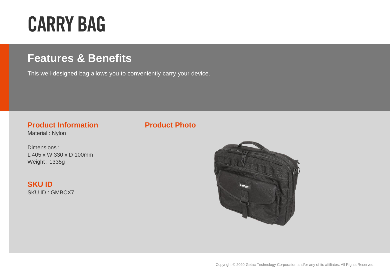# **CARRY BAG**

## **Features & Benefits**

This well-designed bag allows you to conveniently carry your device.

#### **Product Information**

Material : Nylon

Dimensions : L 405 x W 330 x D 100mm Weight : 1335g

**SKU ID** SKU ID : GMBCX7

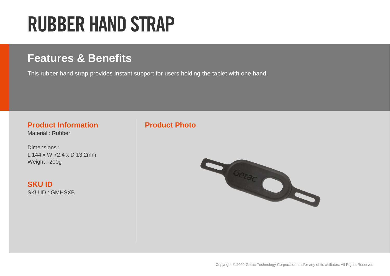# **RUBBER HAND STRAP**

## **Features & Benefits**

This rubber hand strap provides instant support for users holding the tablet with one hand.

#### **Product Information**

Material : Rubber

Dimensions : L 144 x W 72.4 x D 13.2mm Weight : 200g

**SKU ID** SKU ID : GMHSXB

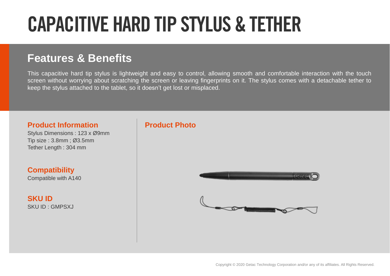# **CAPACITIVE HARD TIP STYLUS & TETHER**

## **Features & Benefits**

This capacitive hard tip stylus is lightweight and easy to control, allowing smooth and comfortable interaction with the touch screen without worrying about scratching the screen or leaving fingerprints on it. The stylus comes with a detachable tether to keep the stylus attached to the tablet, so it doesn't get lost or misplaced.

#### **Product Information**

Stylus Dimensions : 123 x Ø9mm Tip size : 3.8mm ; Ø 3.5mm Tether Length : 304 mm

**Compatibility** Compatible with A140

**SKU ID** SKU ID : GMPSXJ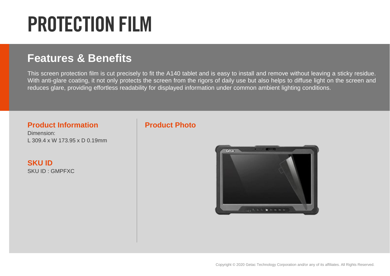# **PROTECTION FILM**

## **Features & Benefits**

This screen protection film is cut precisely to fit the A140 tablet and is easy to install and remove without leaving a sticky residue. With anti-glare coating, it not only protects the screen from the rigors of daily use but also helps to diffuse light on the screen and reduces glare, providing effortless readability for displayed information under common ambient lighting conditions.

#### **Product Information**

Dimension: L 309.4 x W 173.95 x D 0.19mm

**SKU ID** SKU ID : GMPFXC